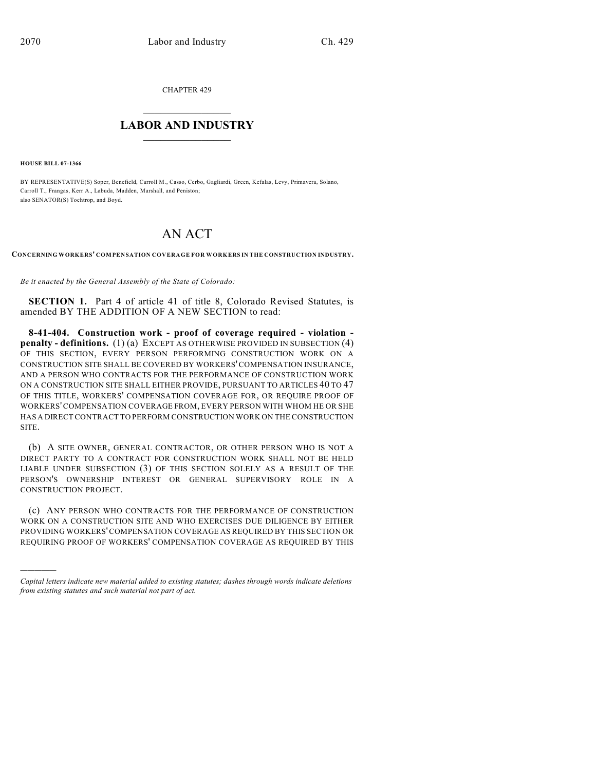CHAPTER 429

## $\mathcal{L}_\text{max}$  . The set of the set of the set of the set of the set of the set of the set of the set of the set of the set of the set of the set of the set of the set of the set of the set of the set of the set of the set **LABOR AND INDUSTRY**  $\frac{1}{\sqrt{2}}$  ,  $\frac{1}{\sqrt{2}}$  ,  $\frac{1}{\sqrt{2}}$  ,  $\frac{1}{\sqrt{2}}$  ,  $\frac{1}{\sqrt{2}}$  ,  $\frac{1}{\sqrt{2}}$

**HOUSE BILL 07-1366**

)))))

BY REPRESENTATIVE(S) Soper, Benefield, Carroll M., Casso, Cerbo, Gagliardi, Green, Kefalas, Levy, Primavera, Solano, Carroll T., Frangas, Kerr A., Labuda, Madden, Marshall, and Peniston; also SENATOR(S) Tochtrop, and Boyd.

## AN ACT

**CONCERNING WORKERS' COMPENSATION COVERAGE FOR WORKERS IN THE CONSTRUCTION INDUSTRY.**

*Be it enacted by the General Assembly of the State of Colorado:*

**SECTION 1.** Part 4 of article 41 of title 8, Colorado Revised Statutes, is amended BY THE ADDITION OF A NEW SECTION to read:

**8-41-404. Construction work - proof of coverage required - violation penalty - definitions.** (1) (a) EXCEPT AS OTHERWISE PROVIDED IN SUBSECTION (4) OF THIS SECTION, EVERY PERSON PERFORMING CONSTRUCTION WORK ON A CONSTRUCTION SITE SHALL BE COVERED BY WORKERS' COMPENSATION INSURANCE, AND A PERSON WHO CONTRACTS FOR THE PERFORMANCE OF CONSTRUCTION WORK ON A CONSTRUCTION SITE SHALL EITHER PROVIDE, PURSUANT TO ARTICLES 40 TO 47 OF THIS TITLE, WORKERS' COMPENSATION COVERAGE FOR, OR REQUIRE PROOF OF WORKERS' COMPENSATION COVERAGE FROM, EVERY PERSON WITH WHOM HE OR SHE HAS A DIRECT CONTRACT TO PERFORM CONSTRUCTION WORK ON THE CONSTRUCTION SITE.

(b) A SITE OWNER, GENERAL CONTRACTOR, OR OTHER PERSON WHO IS NOT A DIRECT PARTY TO A CONTRACT FOR CONSTRUCTION WORK SHALL NOT BE HELD LIABLE UNDER SUBSECTION (3) OF THIS SECTION SOLELY AS A RESULT OF THE PERSON'S OWNERSHIP INTEREST OR GENERAL SUPERVISORY ROLE IN A CONSTRUCTION PROJECT.

(c) ANY PERSON WHO CONTRACTS FOR THE PERFORMANCE OF CONSTRUCTION WORK ON A CONSTRUCTION SITE AND WHO EXERCISES DUE DILIGENCE BY EITHER PROVIDING WORKERS' COMPENSATION COVERAGE AS REQUIRED BY THIS SECTION OR REQUIRING PROOF OF WORKERS' COMPENSATION COVERAGE AS REQUIRED BY THIS

*Capital letters indicate new material added to existing statutes; dashes through words indicate deletions from existing statutes and such material not part of act.*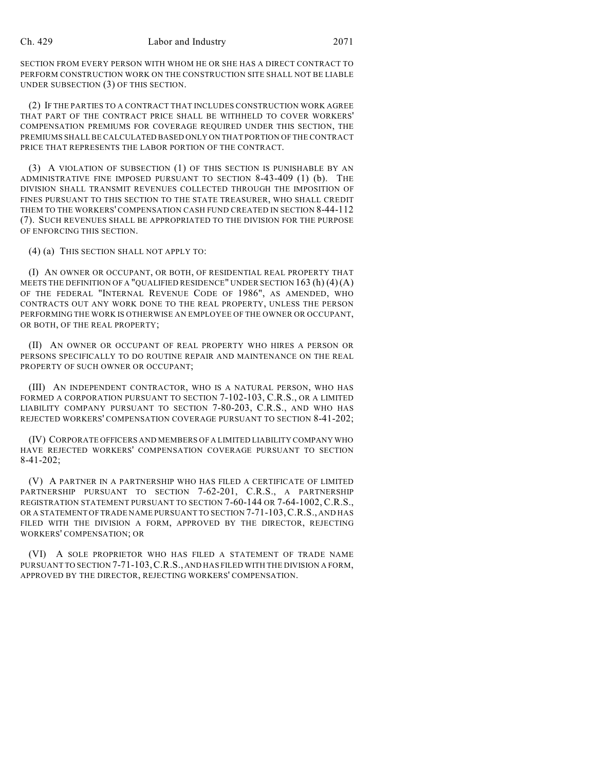## Ch. 429 Labor and Industry 2071

SECTION FROM EVERY PERSON WITH WHOM HE OR SHE HAS A DIRECT CONTRACT TO PERFORM CONSTRUCTION WORK ON THE CONSTRUCTION SITE SHALL NOT BE LIABLE UNDER SUBSECTION (3) OF THIS SECTION.

(2) IF THE PARTIES TO A CONTRACT THAT INCLUDES CONSTRUCTION WORK AGREE THAT PART OF THE CONTRACT PRICE SHALL BE WITHHELD TO COVER WORKERS' COMPENSATION PREMIUMS FOR COVERAGE REQUIRED UNDER THIS SECTION, THE PREMIUMS SHALL BE CALCULATED BASED ONLY ON THAT PORTION OF THE CONTRACT PRICE THAT REPRESENTS THE LABOR PORTION OF THE CONTRACT.

(3) A VIOLATION OF SUBSECTION (1) OF THIS SECTION IS PUNISHABLE BY AN ADMINISTRATIVE FINE IMPOSED PURSUANT TO SECTION 8-43-409 (1) (b). THE DIVISION SHALL TRANSMIT REVENUES COLLECTED THROUGH THE IMPOSITION OF FINES PURSUANT TO THIS SECTION TO THE STATE TREASURER, WHO SHALL CREDIT THEM TO THE WORKERS' COMPENSATION CASH FUND CREATED IN SECTION 8-44-112 (7). SUCH REVENUES SHALL BE APPROPRIATED TO THE DIVISION FOR THE PURPOSE OF ENFORCING THIS SECTION.

(4) (a) THIS SECTION SHALL NOT APPLY TO:

(I) AN OWNER OR OCCUPANT, OR BOTH, OF RESIDENTIAL REAL PROPERTY THAT MEETS THE DEFINITION OF A "QUALIFIED RESIDENCE" UNDER SECTION  $163(h)(4)(A)$ OF THE FEDERAL "INTERNAL REVENUE CODE OF 1986", AS AMENDED, WHO CONTRACTS OUT ANY WORK DONE TO THE REAL PROPERTY, UNLESS THE PERSON PERFORMING THE WORK IS OTHERWISE AN EMPLOYEE OF THE OWNER OR OCCUPANT, OR BOTH, OF THE REAL PROPERTY;

(II) AN OWNER OR OCCUPANT OF REAL PROPERTY WHO HIRES A PERSON OR PERSONS SPECIFICALLY TO DO ROUTINE REPAIR AND MAINTENANCE ON THE REAL PROPERTY OF SUCH OWNER OR OCCUPANT;

(III) AN INDEPENDENT CONTRACTOR, WHO IS A NATURAL PERSON, WHO HAS FORMED A CORPORATION PURSUANT TO SECTION 7-102-103, C.R.S., OR A LIMITED LIABILITY COMPANY PURSUANT TO SECTION 7-80-203, C.R.S., AND WHO HAS REJECTED WORKERS' COMPENSATION COVERAGE PURSUANT TO SECTION 8-41-202;

(IV) CORPORATE OFFICERS AND MEMBERS OF A LIMITED LIABILITY COMPANY WHO HAVE REJECTED WORKERS' COMPENSATION COVERAGE PURSUANT TO SECTION 8-41-202;

(V) A PARTNER IN A PARTNERSHIP WHO HAS FILED A CERTIFICATE OF LIMITED PARTNERSHIP PURSUANT TO SECTION 7-62-201, C.R.S., A PARTNERSHIP REGISTRATION STATEMENT PURSUANT TO SECTION 7-60-144 OR 7-64-1002, C.R.S., OR A STATEMENT OF TRADE NAME PURSUANT TO SECTION 7-71-103,C.R.S., AND HAS FILED WITH THE DIVISION A FORM, APPROVED BY THE DIRECTOR, REJECTING WORKERS' COMPENSATION; OR

(VI) A SOLE PROPRIETOR WHO HAS FILED A STATEMENT OF TRADE NAME PURSUANT TO SECTION 7-71-103,C.R.S., AND HAS FILED WITH THE DIVISION A FORM, APPROVED BY THE DIRECTOR, REJECTING WORKERS' COMPENSATION.